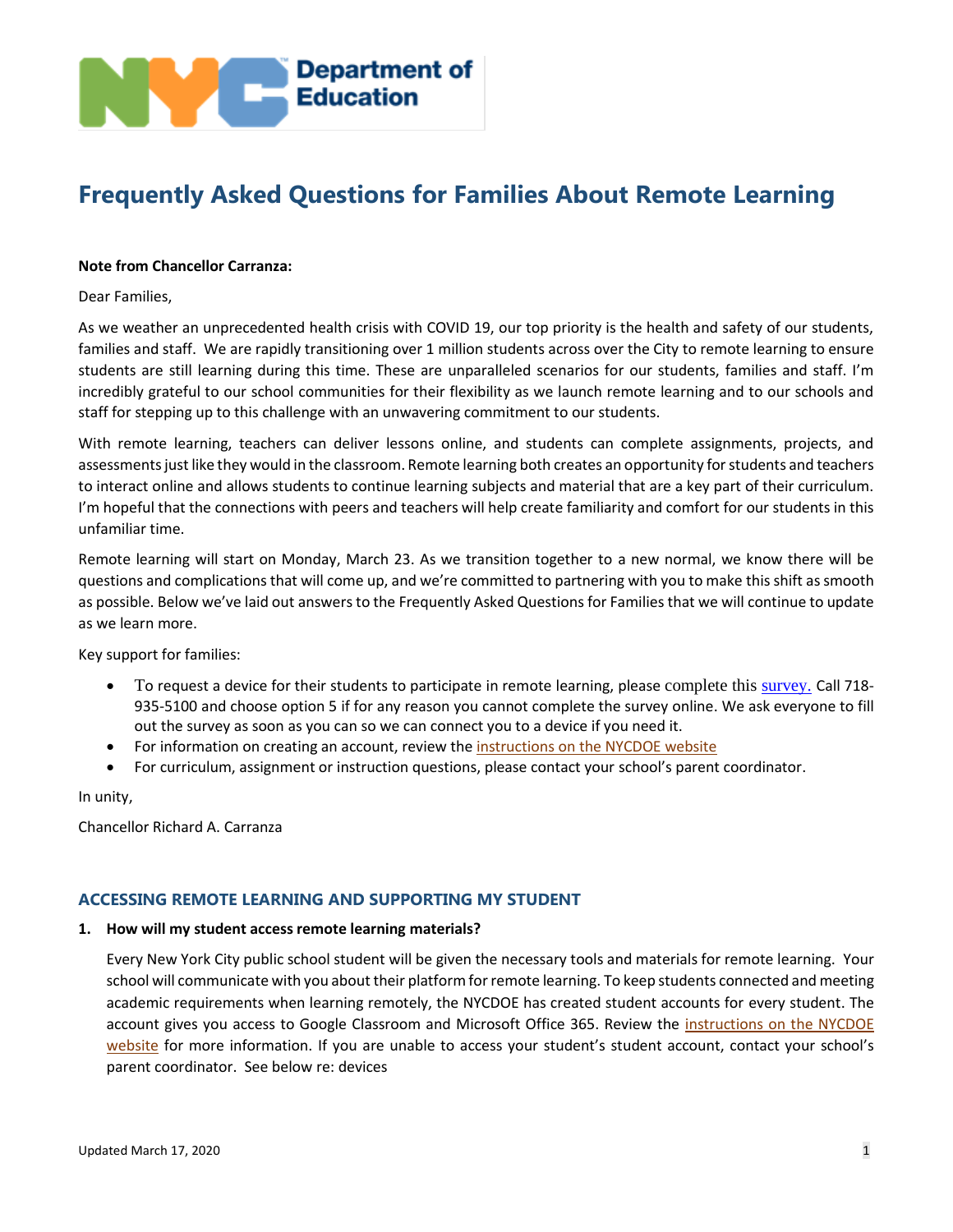

# **Frequently Asked Questions for Families About Remote Learning**

#### **Note from Chancellor Carranza:**

Dear Families,

As we weather an unprecedented health crisis with COVID 19, our top priority is the health and safety of our students, families and staff. We are rapidly transitioning over 1 million students across over the City to remote learning to ensure students are still learning during this time. These are unparalleled scenarios for our students, families and staff. I'm incredibly grateful to our school communities for their flexibility as we launch remote learning and to our schools and staff for stepping up to this challenge with an unwavering commitment to our students.

With remote learning, teachers can deliver lessons online, and students can complete assignments, projects, and assessments just like they would in the classroom. Remote learning both creates an opportunity for students and teachers to interact online and allows students to continue learning subjects and material that are a key part of their curriculum. I'm hopeful that the connections with peers and teachers will help create familiarity and comfort for our students in this unfamiliar time.

Remote learning will start on Monday, March 23. As we transition together to a new normal, we know there will be questions and complications that will come up, and we're committed to partnering with you to make this shift as smooth as possible. Below we've laid out answers to the Frequently Asked Questions for Families that we will continue to update as we learn more.

Key support for families:

- To request a device for their students to participate in remote learning, please complete this [survey.](https://coronavirus.schools.nyc/RemoteLearningDevices) Call 718-935-5100 and choose option 5 if for any reason you cannot complete the survey online. We ask everyone to fill out the survey as soon as you can so we can connect you to a device if you need it.
- For information on creating an account, review the [instructions on the NYCDOE website](https://www.schools.nyc.gov/learn-at-home/digital-learning-tools/doe-student-accounts)
- For curriculum, assignment or instruction questions, please contact your school's parent coordinator.

In unity,

Chancellor Richard A. Carranza

# **ACCESSING REMOTE LEARNING AND SUPPORTING MY STUDENT**

#### **1. How will my student access remote learning materials?**

Every New York City public school student will be given the necessary tools and materials for remote learning. Your school will communicate with you about their platform for remote learning. To keep students connected and meeting academic requirements when learning remotely, the NYCDOE has created student accounts for every student. The account gives you access to Google Classroom and Microsoft Office 365. Review the [instructions on the NYCDOE](https://www.schools.nyc.gov/learn-at-home/digital-learning-tools/doe-student-accounts) [website](https://www.schools.nyc.gov/learn-at-home/digital-learning-tools/doe-student-accounts) for more information. If you are unable to access your student's student account, contact your school's parent coordinator. See below re: devices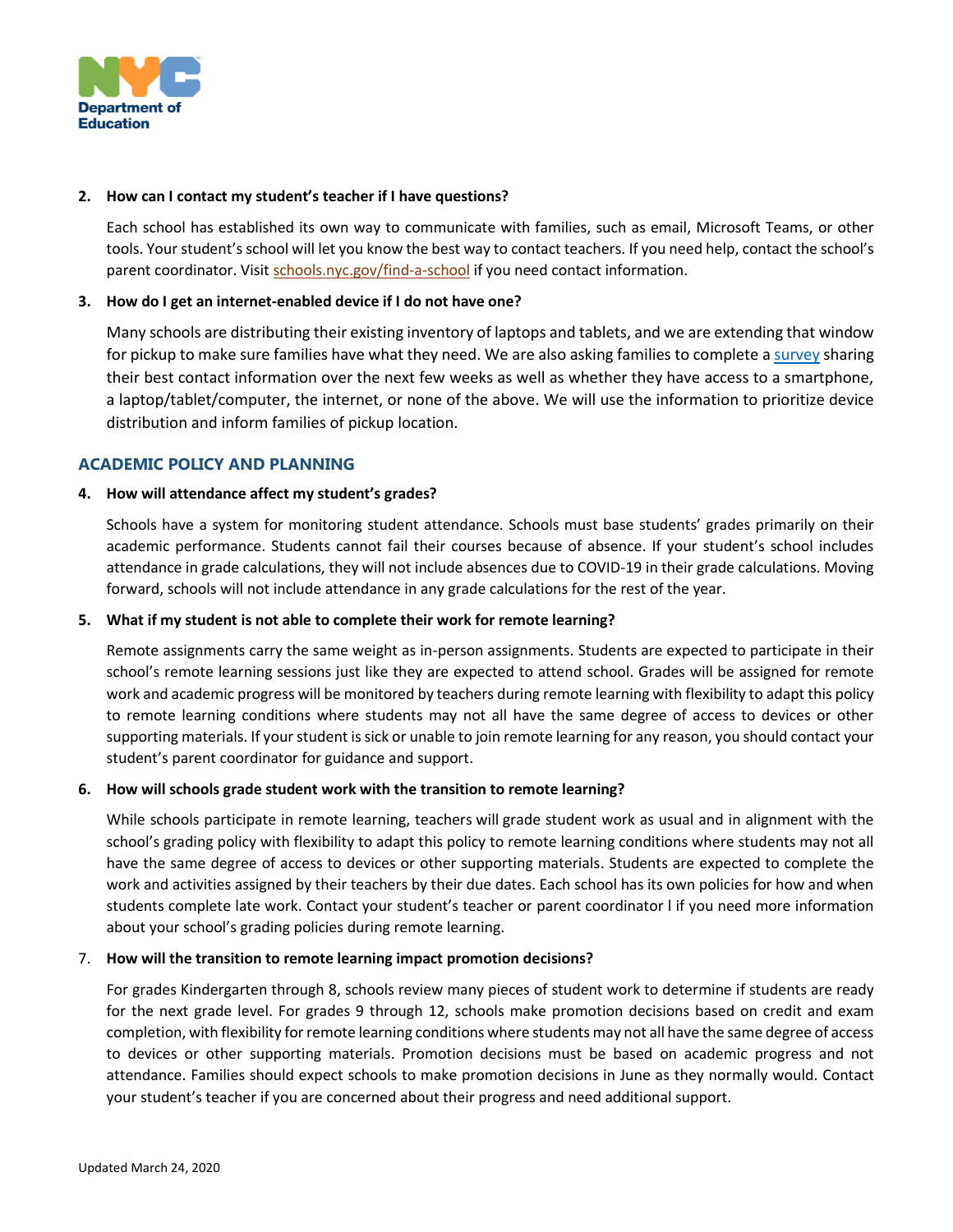

## **2. How can I contact my student's teacher if I have questions?**

Each school has established its own way to communicate with families, such as email, Microsoft Teams, or other tools. Your student's school will let you know the best way to contact teachers. If you need help, contact the school's parent coordinator. Visi[t schools.nyc.gov/find-a-school](https://schools.nyc.gov/find-a-school) if you need contact information.

## **3. How do I get an internet-enabled device if I do not have one?**

Many schools are distributing their existing inventory of laptops and tablets, and we are extending that window for pickup to make sure families have what they need. We are also asking families to complete [a survey](https://coronavirus.schools.nyc/RemoteLearningDevices) sharing their best contact information over the next few weeks as well as whether they have access to a smartphone, a laptop/tablet/computer, the internet, or none of the above. We will use the information to prioritize device distribution and inform families of pickup location.

# **ACADEMIC POLICY AND PLANNING**

# **4. How will attendance affect my student's grades?**

Schools have a system for monitoring student attendance. Schools must base students' grades primarily on their academic performance. Students cannot fail their courses because of absence. If your student's school includes attendance in grade calculations, they will not include absences due to COVID-19 in their grade calculations. Moving forward, schools will not include attendance in any grade calculations for the rest of the year.

## **5. What if my student is not able to complete their work for remote learning?**

Remote assignments carry the same weight as in-person assignments. Students are expected to participate in their school's remote learning sessions just like they are expected to attend school. Grades will be assigned for remote work and academic progress will be monitored by teachers during remote learning with flexibility to adapt this policy to remote learning conditions where students may not all have the same degree of access to devices or other supporting materials. If your student is sick or unable to join remote learning for any reason, you should contact your student's parent coordinator for guidance and support.

#### **6. How will schools grade student work with the transition to remote learning?**

While schools participate in remote learning, teachers will grade student work as usual and in alignment with the school's grading policy with flexibility to adapt this policy to remote learning conditions where students may not all have the same degree of access to devices or other supporting materials. Students are expected to complete the work and activities assigned by their teachers by their due dates. Each school has its own policies for how and when students complete late work. Contact your student's teacher or parent coordinator l if you need more information about your school's grading policies during remote learning.

## 7. **How will the transition to remote learning impact promotion decisions?**

For grades Kindergarten through 8, schools review many pieces of student work to determine if students are ready for the next grade level. For grades 9 through 12, schools make promotion decisions based on credit and exam completion, with flexibility for remote learning conditions where students may not all have the same degree of access to devices or other supporting materials. Promotion decisions must be based on academic progress and not attendance. Families should expect schools to make promotion decisions in June as they normally would. Contact your student's teacher if you are concerned about their progress and need additional support.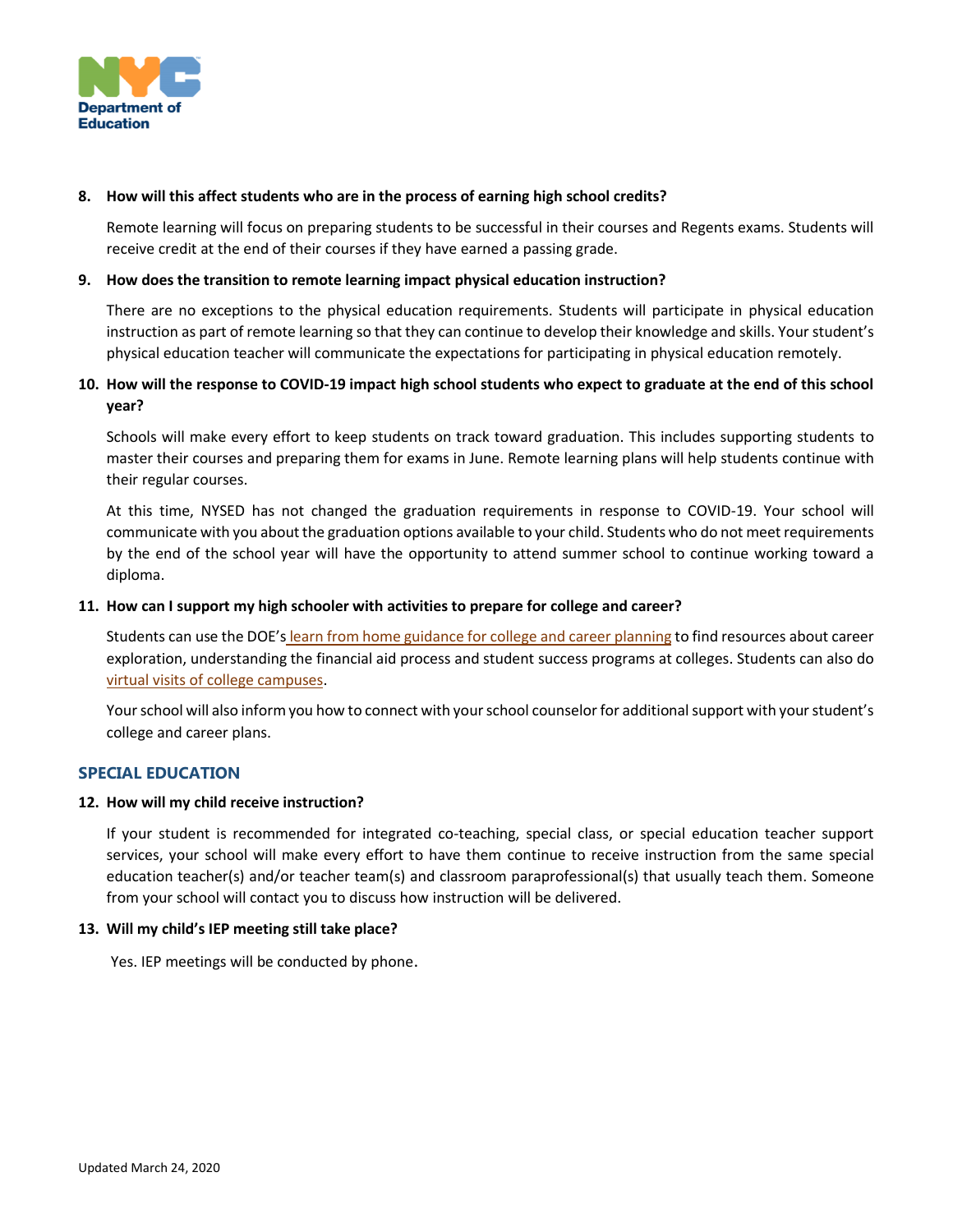

## **8. How will this affect students who are in the process of earning high school credits?**

Remote learning will focus on preparing students to be successful in their courses and Regents exams. Students will receive credit at the end of their courses if they have earned a passing grade.

## **9. How does the transition to remote learning impact physical education instruction?**

There are no exceptions to the physical education requirements. Students will participate in physical education instruction as part of remote learning so that they can continue to develop their knowledge and skills. Your student's physical education teacher will communicate the expectations for participating in physical education remotely.

# **10. How will the response to COVID-19 impact high school students who expect to graduate at the end of this school year?**

Schools will make every effort to keep students on track toward graduation. This includes supporting students to master their courses and preparing them for exams in June. Remote learning plans will help students continue with their regular courses.

At this time, NYSED has not changed the graduation requirements in response to COVID-19. Your school will communicate with you about the graduation options available to your child. Students who do not meet requirements by the end of the school year will have the opportunity to attend summer school to continue working toward a diploma.

# **11. How can I support my high schooler with activities to prepare for college and career?**

Students can use the DOE's [learn from home guidance for college and career planning](https://www.schools.nyc.gov/learn-at-home/activities-for-students/high-school) to find resources about career exploration, understanding the financial aid process and student success programs at colleges. Students can also do [virtual visits of college campuses.](https://www.youvisit.com/collegesearch/)

Your school will also inform you how to connect with your school counselor for additional support with your student's college and career plans.

# **SPECIAL EDUCATION**

#### **12. How will my child receive instruction?**

If your student is recommended for integrated co-teaching, special class, or special education teacher support services, your school will make every effort to have them continue to receive instruction from the same special education teacher(s) and/or teacher team(s) and classroom paraprofessional(s) that usually teach them. Someone from your school will contact you to discuss how instruction will be delivered.

#### **13. Will my child's IEP meeting still take place?**

Yes. IEP meetings will be conducted by phone.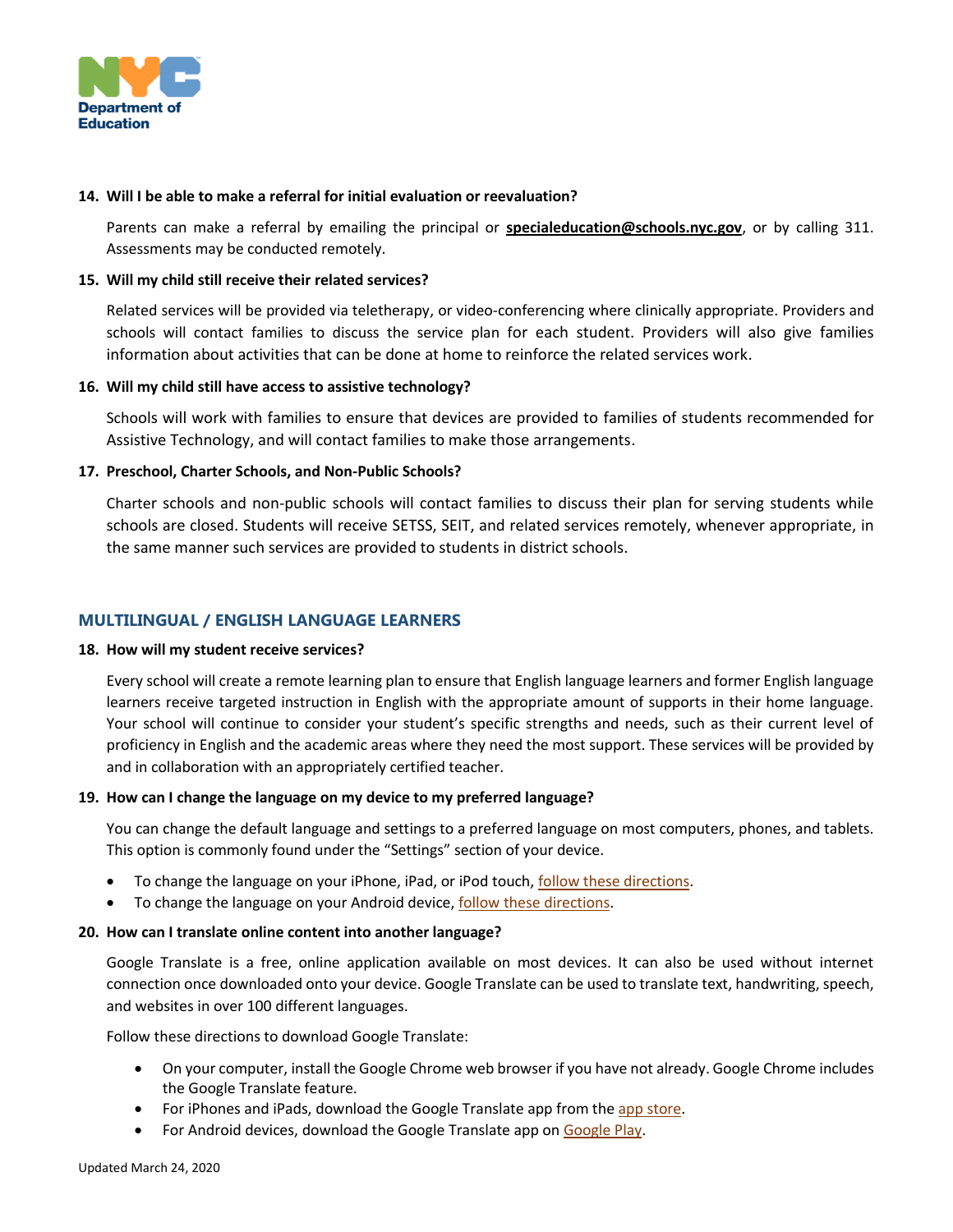

#### **14. Will I be able to make a referral for initial evaluation or reevaluation?**

Parents can make a referral by emailing the principal or **[specialeducation@schools.nyc.gov](mailto:specialeducation@schools.nyc.gov)**, or by calling 311. Assessments may be conducted remotely.

## **15. Will my child still receive their related services?**

Related services will be provided via teletherapy, or video-conferencing where clinically appropriate. Providers and schools will contact families to discuss the service plan for each student. Providers will also give families information about activities that can be done at home to reinforce the related services work.

#### **16. Will my child still have access to assistive technology?**

Schools will work with families to ensure that devices are provided to families of students recommended for Assistive Technology, and will contact families to make those arrangements.

# **17. Preschool, Charter Schools, and Non-Public Schools?**

Charter schools and non-public schools will contact families to discuss their plan for serving students while schools are closed. Students will receive SETSS, SEIT, and related services remotely, whenever appropriate, in the same manner such services are provided to students in district schools.

# **MULTILINGUAL / ENGLISH LANGUAGE LEARNERS**

#### **18. How will my student receive services?**

Every school will create a remote learning plan to ensure that English language learners and former English language learners receive targeted instruction in English with the appropriate amount of supports in their home language. Your school will continue to consider your student's specific strengths and needs, such as their current level of proficiency in English and the academic areas where they need the most support. These services will be provided by and in collaboration with an appropriately certified teacher.

#### **19. How can I change the language on my device to my preferred language?**

You can change the default language and settings to a preferred language on most computers, phones, and tablets. This option is commonly found under the "Settings" section of your device.

- To change the language on your iPhone, iPad, or iPod touch[, follow these directions.](https://support.apple.com/en-us/HT204031)
- To change the language on your Android device[, follow these directions.](https://www.wikihow.tech/Change-the-Language-in-Android)

# **20. How can I translate online content into another language?**

Google Translate is a free, online application available on most devices. It can also be used without internet connection once downloaded onto your device. Google Translate can be used to translate text, handwriting, speech, and websites in over 100 different languages.

Follow these directions to download Google Translate:

- On your computer, install the Google Chrome web browser if you have not already. Google Chrome includes the Google Translate feature.
- For iPhones and iPads, download the Google Translate app from th[e app store.](https://apps.apple.com/us/app/google-translate/id414706506)
- For Android devices, download the Google Translate app on [Google Play.](https://play.google.com/store/apps/details?id=com.google.android.apps.translate&26hl=en)